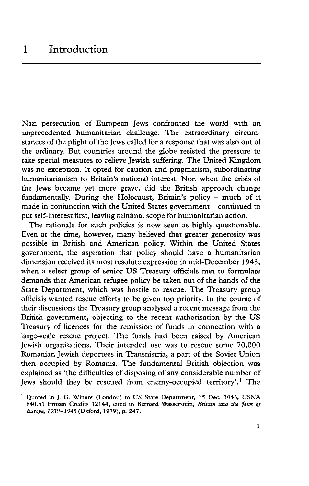Nazi persecution of European Jews confronted the world with an unprecedented humanitarian challenge. The extraordinary circumstances of the plight of the Jews called for a response that was also out of the ordinary. But countries around the globe resisted the pressure to take special measures to relieve Jewish suffering. The United Kingdom was no exception. It opted for caution and pragmatism, subordinating humanitarianism to Britain's national interest. Nor, when the crisis of the Jews became yet more grave, did the British approach change fundamentally. During the Holocaust, Britain's policy - much of it made in conjunction with the United States government - continued to put self-interest first, leaving minimal scope for humanitarian action.

The rationale for such policies is now seen as highly questionable. Even at the time, however, many believed that greater generosity was possible in British and American policy. Within the United States government, the aspiration that policy should have a humanitarian dimension received its most resolute expression in mid-December 1943, when a select group of senior US Treasury officials met to formulate demands that American refugee policy be taken out of the hands of the State Department, which was hostile to rescue. The Treasury group officials wanted rescue efforts to be given top priority. In the course of their discussions the Treasury group analysed a recent message from the British government, objecting to the recent authorisation by the US Treasury of licences for the remission of funds in connection with a large-scale rescue project. The funds had been raised by American Jewish organisations. Their intended use was to rescue some 70,000 Romanian Jewish deportees in Transnistria, a part of the Soviet Union then occupied by Romania. The fundamental British objection was explained as 'the difficulties of disposing of any considerable number of Jews should they be rescued from enemy-occupied territory'.1 The

<sup>&</sup>lt;sup>1</sup> Quoted in J. G. Winant (London) to US State Department, 15 Dec. 1943, USNA 840.51 Frozen Credits 12144, cited in Bernard Wasserstein, *Britain and the Jews of Europe, 1939-1945* (Oxford, 1979), p. 247.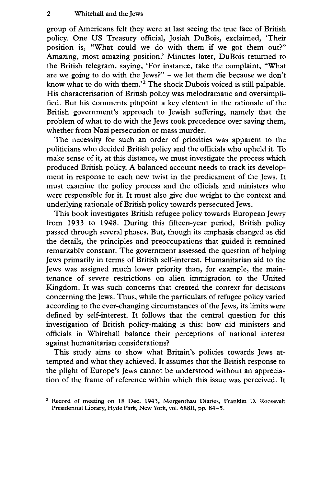group of Americans felt they were at last seeing the true face of British policy. One US Treasury official, Josiah DuBois, exclaimed, 'Their position is, "What could we do with them if we got them out?" Amazing, most amazing position.' Minutes later, DuBois returned to the British telegram, saying, 'For instance, take the complaint, "What are we going to do with the Jews?" - we let them die because we don't know what to do with them.'2 The shock Dubois voiced is still palpable. His characterisation of British policy was melodramatic and oversimplified. But his comments pinpoint a key element in the rationale of the British government's approach to Jewish suffering, namely that the problem of what to do with the Jews took precedence over saving them, whether from Nazi persecution or mass murder.

The necessity for such an order of priorities was apparent to the politicians who decided British policy and the officials who upheld it. To make sense of it, at this distance, we must investigate the process which produced British policy. A balanced account needs to track its development in response to each new twist in the predicament of the Jews. It must examine the policy process and the officials and ministers who were responsible for it. It must also give due weight to the context and underlying rationale of British policy towards persecuted Jews.

This book investigates British refugee policy towards European Jewry from 1933 to 1948. During this fifteen-year period, British policy passed through several phases. But, though its emphasis changed as did the details, the principles and preoccupations that guided it remained remarkably constant. The government assessed the question of helping Jews primarily in terms of British self-interest. Humanitarian aid to the Jews was assigned much lower priority than, for example, the maintenance of severe restrictions on alien immigration to the United Kingdom. It was such concerns that created the context for decisions concerning the Jews. Thus, while the particulars of refugee policy varied according to the ever-changing circumstances of the Jews, its limits were defined by self-interest. It follows that the central question for this investigation of British policy-making is this: how did ministers and officials in Whitehall balance their perceptions of national interest against humanitarian considerations?

This study aims to show what Britain's policies towards Jews attempted and what they achieved. It assumes that the British response to the plight of Europe's Jews cannot be understood without an appreciation of the frame of reference within which this issue was perceived. It

<sup>2</sup> Record of meeting on 18 Dec. 1943, Morgenthau Diaries, Franklin D. Roosevelt Presidential Library, Hyde Park, New York, vol. 688II, pp. 84-5.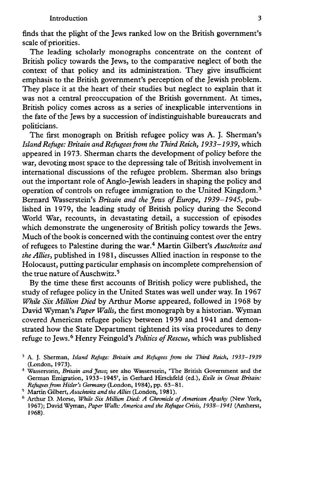finds that the plight of the Jews ranked low on the British government's scale of priorities.

The leading scholarly monographs concentrate on the content of British policy towards the Jews, to the comparative neglect of both the context of that policy and its administration. They give insufficient emphasis to the British government's perception of the Jewish problem. They place it at the heart of their studies but neglect to explain that it was not a central preoccupation of the British government. At times, British policy comes across as a series of inexplicable interventions in the fate of the Jews by a succession of indistinguishable bureaucrats and politicians.

The first monograph on British refugee policy was A. J. Sherman's *Island Refuge: Britain and Refugees from the Third Reich, 1933-1939,* which appeared in 1973. Sherman charts the development of policy before the war, devoting most space to the depressing tale of British involvement in international discussions of the refugee problem. Sherman also brings out the important role of Anglo-Jewish leaders in shaping the policy and operation of controls on refugee immigration to the United Kingdom.3 Bernard Wasserstein's *Britain and the Jews of Europe, 1939-1945,* published in 1979, the leading study of British policy during the Second World War, recounts, in devastating detail, a succession of episodes which demonstrate the ungenerosity of British policy towards the Jews. Much of the book is concerned with the continuing contest over the entry of refugees to Palestine during the war.4 Martin Gilbert's *Auschwitz and the Allies,* published in 1981, discusses Allied inaction in response to the Holocaust, putting particular emphasis on incomplete comprehension of the true nature of Auschwitz.<sup>5</sup>

By the time these first accounts of British policy were published, the study of refugee policy in the United States was well under way. In 1967 *While Six Million Died* by Arthur Morse appeared, followed in 1968 by David Wyman's *Paper Walls,* the first monograph by a historian. Wyman covered American refugee policy between 1939 and 1941 and demonstrated how the State Department tightened its visa procedures to deny refuge to Jews.6 Henry Feingold's *Politics of Rescue,* which was published

5 Martin Gilbert, *A uschwitz and theAllies* (London, 1981).

<sup>3</sup> A. J. Sherman, *Island Refuge: Britain and Refugees from the Third Reich, 1933-1939* (London, 1973).

<sup>4</sup> Wasserstein, *Britain and Jews',* see also Wasserstein, 'The British Government and the German Emigration, 1933-1945', in Gerhard Hirschfeld (ed.), *Exile in Great Britain: Refugees from Hitler's Germany* (London, 1984), pp. 63-81.

<sup>6</sup> Arthur D. Morse, *While Six Million Died: A Chronicle of American Apathy* (New York, 1967); David Wyman, *Paper Walls: America and the Refugee Crisis, 1938-1941* (Amherst, 1968).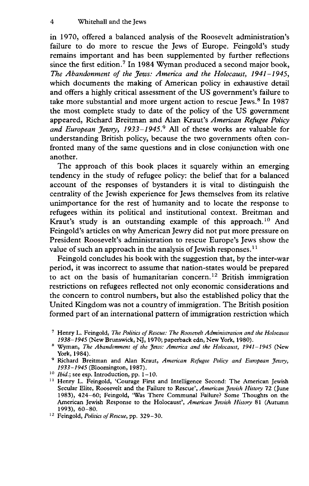in 1970, offered a balanced analysis of the Roosevelt administration's failure to do more to rescue the Jews of Europe. Feingold's study remains important and has been supplemented by further reflections since the first edition.<sup>7</sup> In 1984 Wyman produced a second major book, *The Abandonment of the Jews: America and the Holocaust, 1941-1945,* which documents the making of American policy in exhaustive detail and offers a highly critical assessment of the US government's failure to take more substantial and more urgent action to rescue Jews.<sup>8</sup> In 1987 the most complete study to date of the policy of the US government appeared, Richard Breitman and Alan Kraut's *American Refugee Policy and European Jewry, 1933-1945.9* All of these works are valuable for understanding British policy, because the two governments often confronted many of the same questions and in close conjunction with one another.

The approach of this book places it squarely within an emerging tendency in the study of refugee policy: the belief that for a balanced account of the responses of bystanders it is vital to distinguish the centrality of the Jewish experience for Jews themselves from its relative unimportance for the rest of humanity and to locate the response to refugees within its political and institutional context. Breitman and Kraut's study is an outstanding example of this approach.<sup>10</sup> And Feingold's articles on why American Jewry did not put more pressure on President Roosevelt's administration to rescue Europe's Jews show the value of such an approach in the analysis of Jewish responses.<sup>11</sup>

Feingold concludes his book with the suggestion that, by the inter-war period, it was incorrect to assume that nation-states would be prepared to act on the basis of humanitarian concern.<sup>12</sup> British immigration restrictions on refugees reflected not only economic considerations and the concern to control numbers, but also the established policy that the United Kingdom was not a country of immigration. The British position formed part of an international pattern of immigration restriction which

<sup>7</sup> Henry L. Feingold, *The Politics of Rescue: The Roosevelt Administration and the Holocaust 1938-1945* (New Brunswick, NJ, 1970; paperback edn, New York, 1980).

<sup>8</sup> Wyman, *The Abandonment of the Jews: America and the Holocaust, 1941-1945* (New York, 1984).

<sup>9</sup> Richard Breitman and Alan Kraut, *American Refugee Policy and European Jewry, 1933-1945* (Bloomington, 1987).

<sup>10</sup> *Ibid.;* see esp. Introduction, pp. 1-10.

<sup>&</sup>lt;sup>11</sup> Henry L. Feingold, 'Courage First and Intelligence Second: The American Jewish Secular Elite, Roosevelt and the Failure to Rescue', *American Jewish History* 72 (June 1983), 424-60; Feingold, 'Was There Communal Failure? Some Thoughts on the American Jewish Response to the Holocaust', *American Jewish History* 81 (Autumn 1993), 60-80.

<sup>12</sup> Feingold, *Politics of Rescue,* pp. 329-30.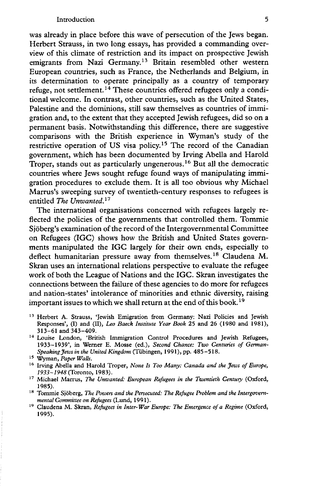was already in place before this wave of persecution of the Jews began. Herbert Strauss, in two long essays, has provided a commanding overview of this climate of restriction and its impact on prospective Jewish emigrants from Nazi Germany.<sup>13</sup> Britain resembled other western European countries, such as France, the Netherlands and Belgium, in its determination to operate principally as a country of temporary refuge, not settlement.14 These countries offered refugees only a conditional welcome. In contrast, other countries, such as the United States, Palestine and the dominions, still saw themselves as countries of immigration and, to the extent that they accepted Jewish refugees, did so on a permanent basis. Notwithstanding this difference, there are suggestive comparisons with the British experience in Wyman's study of the restrictive operation of US visa policy.<sup>15</sup> The record of the Canadian government, which has been documented by Irving Abella and Harold Troper, stands out as particularly ungenerous.16 But all the democratic countries where Jews sought refuge found ways of manipulating immigration procedures to exclude them. It is all too obvious why Michael Marrus's sweeping survey of twentieth-century responses to refugees is entitled *The Unwanted.11*

The international organisations concerned with refugees largely reflected the policies of the governments that controlled them. Tommie Sjöberg's examination of the record of the Intergovernmental Committee on Refugees (IGC) shows how the British and United States governments manipulated the IGC largely for their own ends, especially to deflect humanitarian pressure away from themselves.<sup>18</sup> Claudena M. Skran uses an international relations perspective to evaluate the refugee work of both the League of Nations and the IGC. Skran investigates the connections between the failure of these agencies to do more for refugees and nation-states' intolerance of minorities and ethnic diversity, raising important issues to which we shall return at the end of this book.<sup>19</sup>

- <sup>13</sup> Herbert A. Strauss, 'Jewish Emigration from Germany: Nazi Policies and Jewish Responses', (I) and (II), *Leo Baeck Institute Year Book* 25 and 26 (1980 and 1981), 313-61 and 343-409.
- <sup>14</sup> Louise London, 'British Immigration Control Procedures and Jewish Refugees, 1933-1939', in Werner E. Mosse (ed.), *Second Chance: Two Centuries of German-Speaking Jews in the United Kingdom* (Tübingen, 1991), pp. 485-518.
- 15 Wyman, *Paper Walls.*
- 16 Irving Abella and Harold Troper, *None Is Too Many: Canada and the Jews of Europe*, / *933-1948* (Toronto, 1983).
- 17 Michael Marrus, *The Unwanted: European Refugees in the Twentieth Century* (Oxford, 1985).
- 18 Tommie Sjöberg, *The Powers and the Persecuted: The Refugee Problem and the Intergovernmental Committee on Refugees* (Lund, 1991).
- 19 Claudena M. Skran, *Refugees in Inter-War Europe: The Emergence of a Regime* (Oxford, 1995).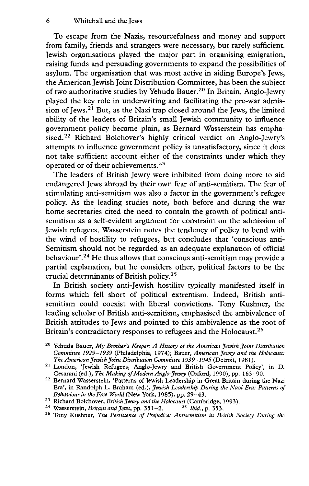To escape from the Nazis, resourcefulness and money and support from family, friends and strangers were necessary, but rarely sufficient. Jewish organisations played the major part in organising emigration, raising funds and persuading governments to expand the possibilities of asylum. The organisation that was most active in aiding Europe's Jews, the American Jewish Joint Distribution Committee, has been the subject of two authoritative studies by Yehuda Bauer.20 In Britain, Anglo-Jewry played the key role in underwriting and facilitating the pre-war admission of Jews.<sup>21</sup> But, as the Nazi trap closed around the Jews, the limited ability of the leaders of Britain's small Jewish community to influence government policy became plain, as Bernard Wasserstein has emphasised.<sup>22</sup> Richard Bolchover's highly critical verdict on Anglo-Jewry's attempts to influence government policy is unsatisfactory, since it does not take sufficient account either of the constraints under which they operated or of their achievements.23

The leaders of British Jewry were inhibited from doing more to aid endangered Jews abroad by their own fear of anti-semitism. The fear of stimulating anti-semitism was also a factor in the government's refugee policy. As the leading studies note, both before and during the war home secretaries cited the need to contain the growth of political antisemitism as a self-evident argument for constraint on the admission of Jewish refugees. Wasserstein notes the tendency of policy to bend with the wind of hostility to refugees, but concludes that 'conscious anti-Semitism should not be regarded as an adequate explanation of official behaviour'.24 He thus allows that conscious anti-semitism may provide a partial explanation, but he considers other, political factors to be the crucial determinants of British policy.25

In British society anti-Jewish hostility typically manifested itself in forms which fell short of political extremism. Indeed, British antisemitism could coexist with liberal convictions. Tony Kushner, the leading scholar of British anti-semitism, emphasised the ambivalence of British attitudes to Jews and pointed to this ambivalence as the root of Britain's contradictory responses to refugees and the Holocaust.<sup>26</sup>

<sup>&</sup>lt;sup>20</sup> Yehuda Bauer, *My Brother's Keeper: A History of the American Jewish Joint Distribution Committee 1929-1939* (Philadelphia, 1974); Bauer, *American Jewry and the Holocaust: The American Jewish Joint Distribution Committee 1939-1945* (Detroit, 1981).

<sup>21</sup> London, 'Jewish Refugees, Anglo-Jewry and British Government Policy', in D. Cesarani (ed.), *The Making of Modem Anglo-Jewry* (Oxford, 1990), pp. 163-90.

<sup>&</sup>lt;sup>22</sup> Bernard Wasserstein, 'Patterns of Jewish Leadership in Great Britain during the Nazi Era', in Randolph L. Braham (ed.), *Jewish Leadership During the Nazi Era: Patterns of Behaviour in the Free World* (New York, 1985), pp. 29-43.

<sup>&</sup>lt;sup>23</sup> Richard Bolchover, *British Jewry and the Holocaust* (Cambridge, 1993).<br><sup>24</sup> Wasserstein, *Britain and Jews*, pp. 351–2. <sup>25</sup> Ibid., p. 353.

<sup>&</sup>lt;sup>24</sup> Wasserstein, *Britain and Jews*, pp. 351-2.

<sup>26</sup> Tony Kushner, *The Persistence of Prejudice: Antisemitism in British Society During the*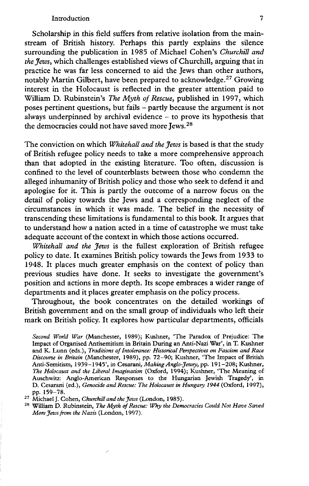## Introduction 7

Scholarship in this field suffers from relative isolation from the mainstream of British history. Perhaps this partly explains the silence surrounding the publication in 1985 of Michael Cohen's *Churchill and the Jews,* which challenges established views of Churchill, arguing that in practice he was far less concerned to aid the Jews than other authors, notably Martin Gilbert, have been prepared to acknowledge.<sup>27</sup> Growing interest in the Holocaust is reflected in the greater attention paid to William D. Rubinstein's *The Myth of Rescue,* published in 1997, which poses pertinent questions, but fails - partly because the argument is not always underpinned by archival evidence  $-$  to prove its hypothesis that the democracies could not have saved more Jews.28

The conviction on which *Whitehall and the Jews* is based is that the study of British refugee policy needs to take a more comprehensive approach than that adopted in the existing literature. Too often, discussion is confined to the level of counterblasts between those who condemn the alleged inhumanity of British policy and those who seek to defend it and apologise for it. This is partly the outcome of a narrow focus on the detail of policy towards the Jews and a corresponding neglect of the circumstances in which it was made. The belief in the necessity of transcending these limitations is fundamental to this book. It argues that to understand how a nation acted in a time of catastrophe we must take adequate account of the context in which those actions occurred.

*Whitehall and the Jews* is the fullest exploration of British refugee policy to date. It examines British policy towards the Jews from 1933 to 1948. It places much greater emphasis on the context of policy than previous studies have done. It seeks to investigate the government's position and actions in more depth. Its scope embraces a wider range of departments and it places greater emphasis on the policy process.

Throughout, the book concentrates on the detailed workings of British government and on the small group of individuals who left their mark on British policy. It explores how particular departments, officials

*Second World War* (Manchester, 1989); Kushner, 'The Paradox of Prejudice: The Impact of Organised Antisemitism in Britain During an Anti-Nazi War', in T. Kushner and K. Lunn (eds.), *Traditions of Intolerance: Historical Perspectives on Fascism and Race Discourse in Britain* (Manchester, 1989), pp. 72-90; Kushner, 'The Impact of British Anti-Semitism, 1939-1945', in Cesarani, *Making Anglo-Jewry,* pp. 191-208; Kushner, *The Holocaust and the Liberal Imagination* (Oxford, 1994); Kushner, 'The Meaning of Auschwitz: Anglo-American Responses to the Hungarian Jewish Tragedy', in D. Cesarani (ed.), *Genocide and Rescue: The Holocaust in Hungary 1944* (Oxford, 1997), pp. 159-78.

<sup>27</sup> Michael J. Cohen, *Churchill and the Jews* (London, 1985).

<sup>28</sup> William D. Rubinstein, *The Myth of Rescue: Why the Democracies Could Not Have Saved More Jews from the Nazis* (London, 1997).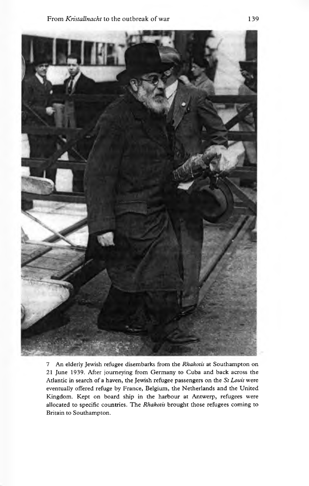

7 An elderly Jewish refugee disembarks from the *Rhakotis* at Southampton on 21 June 1939. After journeying from Germany to Cuba and back across the Atlantic in search of a haven, the Jewish refugee passengers on the *St Louis* were eventually offered refuge by France, Belgium, the Netherlands and the United Kingdom. Kept on board ship in the harbour at Antwerp, refugees were allocated to specific countries. The *Rhakotis* brought those refugees coming to Britain to Southampton.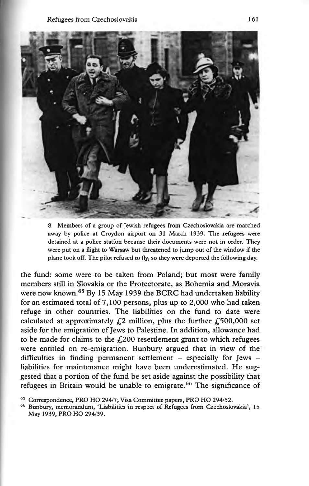

8 Members of a group of Jewish refugees from Czechoslovakia are marched away by police at Croydon airport on 31 March 1939. The refugees were detained at a police station because their documents were not in order. They were put on a flight to Warsaw but threatened to jump out of the window if the plane took off. The pilot refused to fly, so they were deported the following day.

the fund: some were to be taken from Poland; but most were family members still in Slovakia or the Protectorate, as Bohemia and Moravia were now known.<sup>65</sup> By 15 May 1939 the BCRC had undertaken liability for an estimated total of 7,100 persons, plus up to 2,000 who had taken refuge in other countries. The liabilities on the fund to date were calculated at approximately  $\mathcal{L}2$  million, plus the further  $\mathcal{L}500,000$  set aside for the emigration of Jews to Palestine. In addition, allowance had to be made for claims to the  $f(200)$  resettlement grant to which refugees were entitled on re-emigration. Bunbury argued that in view of the difficulties in finding permanent settlement  $-$  especially for Jews  $$ liabilities for maintenance might have been underestimated. He suggested that a portion of the fund be set aside against the possibility that refugees in Britain would be unable to emigrate.<sup>66</sup> The significance of

<sup>65</sup> Correspondence, PRO HO 294/7; Visa Committee papers, PRO HO 294/52.

<sup>66</sup> Bunbury, memorandum, 'Liabilities in respect of Refugees from Czechoslovakia', 15 May 1939, PRO HO 294/39.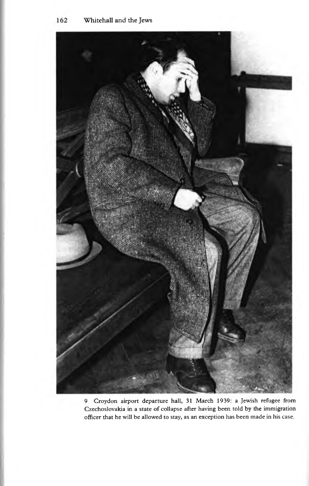

9 Croydon airport departure hall, 31 March 1939: a Jewish refugee from Czechoslovakia in a state of collapse after having been told by the immigration officer that he will be allowed to stay, as an exception has been made in his case.